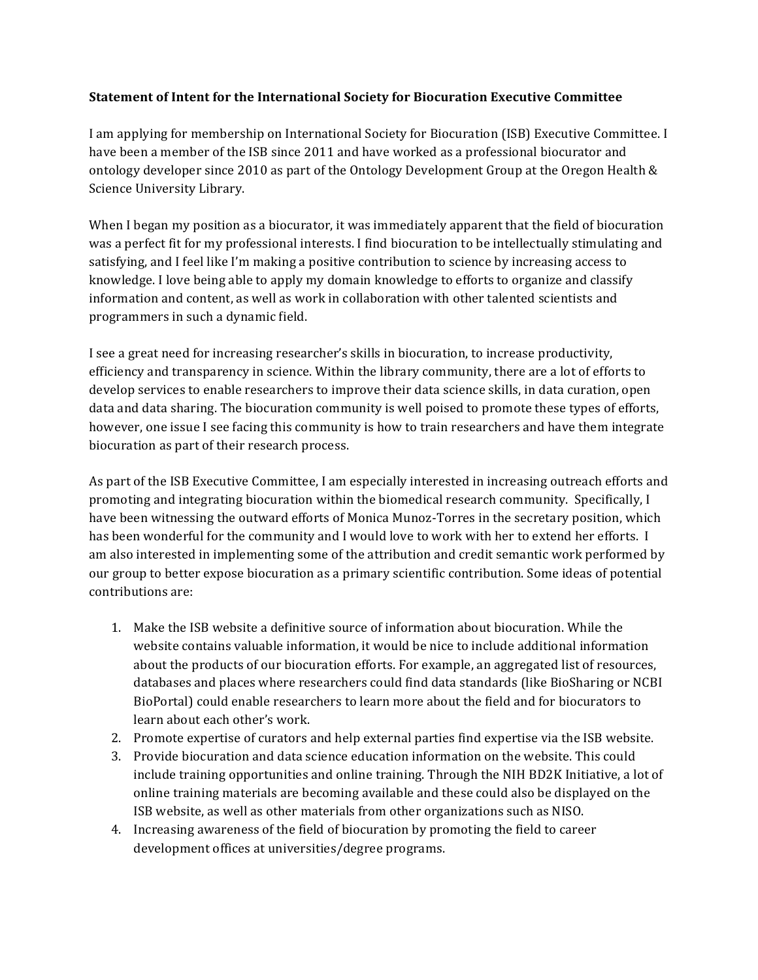## **Statement of Intent for the International Society for Biocuration Executive Committee**

I am applying for membership on International Society for Biocuration (ISB) Executive Committee. I have been a member of the ISB since 2011 and have worked as a professional biocurator and ontology developer since 2010 as part of the Ontology Development Group at the Oregon Health  $\&$ Science University Library.

When I began my position as a biocurator, it was immediately apparent that the field of biocuration was a perfect fit for my professional interests. I find biocuration to be intellectually stimulating and satisfying, and I feel like I'm making a positive contribution to science by increasing access to knowledge. I love being able to apply my domain knowledge to efforts to organize and classify information and content, as well as work in collaboration with other talented scientists and programmers in such a dynamic field.

I see a great need for increasing researcher's skills in biocuration, to increase productivity, efficiency and transparency in science. Within the library community, there are a lot of efforts to develop services to enable researchers to improve their data science skills, in data curation, open data and data sharing. The biocuration community is well poised to promote these types of efforts, however, one issue I see facing this community is how to train researchers and have them integrate biocuration as part of their research process.

As part of the ISB Executive Committee, I am especially interested in increasing outreach efforts and promoting and integrating biocuration within the biomedical research community. Specifically, I have been witnessing the outward efforts of Monica Munoz-Torres in the secretary position, which has been wonderful for the community and I would love to work with her to extend her efforts. I am also interested in implementing some of the attribution and credit semantic work performed by our group to better expose biocuration as a primary scientific contribution. Some ideas of potential contributions are:

- 1. Make the ISB website a definitive source of information about biocuration. While the website contains valuable information, it would be nice to include additional information about the products of our biocuration efforts. For example, an aggregated list of resources, databases and places where researchers could find data standards (like BioSharing or NCBI) BioPortal) could enable researchers to learn more about the field and for biocurators to learn about each other's work.
- 2. Promote expertise of curators and help external parties find expertise via the ISB website.
- 3. Provide biocuration and data science education information on the website. This could include training opportunities and online training. Through the NIH BD2K Initiative, a lot of online training materials are becoming available and these could also be displayed on the ISB website, as well as other materials from other organizations such as NISO.
- 4. Increasing awareness of the field of biocuration by promoting the field to career development offices at universities/degree programs.